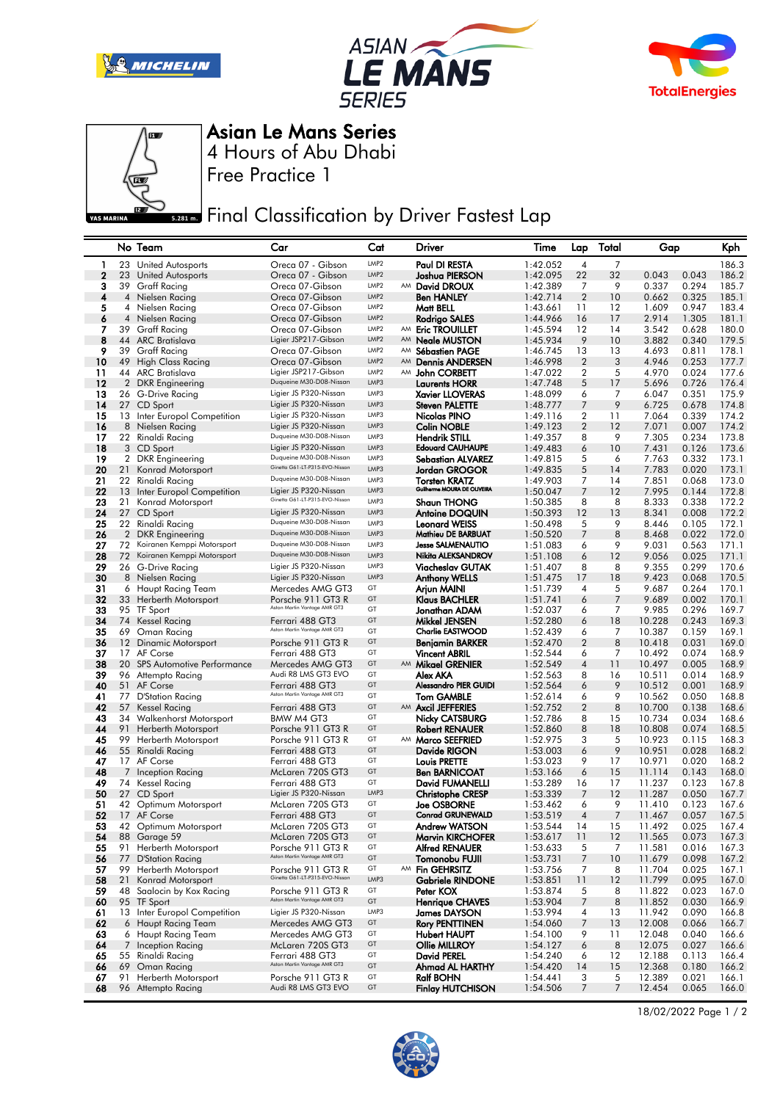







4 Hours of Abu Dhabi Asian Le Mans Series

Free Practice 1

**ERRY FINAL Classification by Driver Fastest Lap** 

|             |                | No Team                                         | Car                                                 | Cat                      |    | Driver                                         | Time                 | Lap            | Total          | Gap              |                | Kph            |
|-------------|----------------|-------------------------------------------------|-----------------------------------------------------|--------------------------|----|------------------------------------------------|----------------------|----------------|----------------|------------------|----------------|----------------|
| 1           | 23             | United Autosports                               | Oreca 07 - Gibson                                   | LMP2                     |    | Paul DI RESTA                                  | 1:42.052             | 4              | 7              |                  |                | 186.3          |
| $\mathbf 2$ |                | 23 United Autosports                            | Oreca 07 - Gibson                                   | LMP <sub>2</sub>         |    | <b>Joshua PIERSON</b>                          | 1:42.095             | 22             | 32             | 0.043            | 0.043          | 186.2          |
| 3           | 39             | <b>Graff Racing</b>                             | Oreca 07-Gibson                                     | LMP <sub>2</sub>         |    | AM David DROUX                                 | 1:42.389             | 7              | 9              | 0.337            | 0.294          | 185.7          |
| 4           | $\overline{4}$ | Nielsen Racing                                  | Oreca 07-Gibson                                     | LMP <sub>2</sub>         |    | Ben HANLEY                                     | 1:42.714             | $\overline{2}$ | 10             | 0.662            | 0.325          | 185.1          |
| 5           |                | 4 Nielsen Racing                                | Oreca 07-Gibson                                     | LMP <sub>2</sub>         |    | Matt BELL                                      | 1:43.661             | 11             | 12             | 1.609            | 0.947          | 183.4          |
| 6           | 4              | Nielsen Racing                                  | Oreca 07-Gibson                                     | LMP <sub>2</sub>         |    | <b>Rodrigo SALES</b>                           | 1:44.966             | 16             | 17             | 2.914            | 1.305          | 181.1          |
| 7           |                | 39 Graff Racing                                 | Oreca 07-Gibson                                     | LMP <sub>2</sub>         | AM | <b>Eric TROUILLET</b>                          | 1:45.594             | 12             | 14             | 3.542            | 0.628          | 180.0          |
| 8           |                | 44 ARC Bratislava                               | Ligier JSP217-Gibson                                | LMP <sub>2</sub>         | AM | <b>Neale MUSTON</b>                            | 1:45.934             | 9              | 10             | 3.882            | 0.340          | 179.5          |
| 9           | 39             | <b>Graff Racing</b>                             | Oreca 07-Gibson                                     | LMP <sub>2</sub>         |    | AM Sébastien PAGE                              | 1:46.745             | 13             | 13             | 4.693            | 0.811          | 178.1          |
| 10          |                | 49 High Class Racing                            | Oreca 07-Gibson                                     | LMP <sub>2</sub>         | AM | <b>Dennis ANDERSEN</b>                         | 1:46.998             | $\overline{2}$ | 3              | 4.946            | 0.253          | 177.7          |
| 11          |                | 44 ARC Bratislava                               | Ligier JSP217-Gibson<br>Duqueine M30-D08-Nissan     | LMP <sub>2</sub><br>LMP3 |    | AM John CORBETT                                | 1:47.022<br>1:47.748 | 2<br>5         | 5<br>17        | 4.970            | 0.024          | 177.6          |
| 12<br>13    | $\overline{2}$ | <b>DKR</b> Engineering<br>26 G-Drive Racing     | Ligier JS P320-Nissan                               | LMP3                     |    | Laurents HORR<br><b>Xavier LLOVERAS</b>        | 1:48.099             | 6              | 7              | 5.696<br>6.047   | 0.726<br>0.351 | 176.4<br>175.9 |
| 14          |                | 27 CD Sport                                     | Ligier JS P320-Nissan                               | LMP3                     |    | <b>Steven PALETTE</b>                          | 1:48.777             | 7              | 9              | 6.725            | 0.678          | 174.8          |
| 15          |                | 13 Inter Europol Competition                    | Ligier JS P320-Nissan                               | LMP3                     |    | Nicolas PINO                                   | 1:49.116             | 2              | 11             | 7.064            | 0.339          | 174.2          |
| 16          |                | 8 Nielsen Racing                                | Ligier JS P320-Nissan                               | LMP3                     |    | <b>Colin NOBLE</b>                             | 1:49.123             | $\overline{2}$ | 12             | 7.071            | 0.007          | 174.2          |
| 17          |                | 22 Rinaldi Racing                               | Duqueine M30-D08-Nissan                             | LMP3                     |    | <b>Hendrik STILL</b>                           | 1:49.357             | 8              | 9              | 7.305            | 0.234          | 173.8          |
| 18          |                | 3 CD Sport                                      | Ligier JS P320-Nissan                               | LMP3                     |    | <b>Edouard CAUHAUPE</b>                        | 1:49.483             | 6              | 10             | 7.431            | 0.126          | 173.6          |
| 19          | 2              | <b>DKR</b> Engineering                          | Duqueine M30-D08-Nissan                             | LMP3                     |    | Sebastian ALVAREZ                              | 1:49.815             | 5              | 6              | 7.763            | 0.332          | 173.1          |
| 20          | 21             | Konrad Motorsport                               | Ginetta G61-LT-P315-EVO-Nissan                      | LMP3                     |    | Jordan GROGOR                                  | 1:49.835             | 5              | 14             | 7.783            | 0.020          | 173.1          |
| 21          |                | 22 Rinaldi Racing                               | Duqueine M30-D08-Nissan                             | LMP3                     |    | <b>Torsten KRATZ</b>                           | 1:49.903             | 7              | 14             | 7.851            | 0.068          | 173.0          |
| 22          | 13             | Inter Europol Competition                       | Ligier JS P320-Nissan                               | LMP3                     |    | Guilherme MOURA DE OLIVEIRA                    | 1:50.047             | 7              | 12             | 7.995            | 0.144          | 172.8          |
| 23          | 21             | Konrad Motorsport                               | Ginetta G61-LT-P315-EVO-Nissan                      | LMP3                     |    | <b>Shaun THONG</b>                             | 1:50.385             | 8              | 8              | 8.333            | 0.338          | 172.2          |
| 24          | 27             | CD Sport                                        | Ligier JS P320-Nissan                               | LMP3                     |    | <b>Antoine DOQUIN</b>                          | 1:50.393             | 12             | 13             | 8.341            | 0.008          | 172.2          |
| 25          | 22             | Rinaldi Racing                                  | Duqueine M30-D08-Nissan                             | LMP3                     |    | <b>Leonard WEISS</b>                           | 1:50.498             | 5              | 9              | 8.446            | 0.105          | 172.1          |
| 26          |                | 2 DKR Engineering                               | Duqueine M30-D08-Nissan<br>Duqueine M30-D08-Nissan  | LMP3                     |    | Mathieu DE BARBUAT                             | 1:50.520             | 7              | 8              | 8.468            | 0.022          | 172.0          |
| 27          | 72             | Koiranen Kemppi Motorsport                      | Duqueine M30-D08-Nissan                             | LMP3<br>LMP3             |    | <b>Jesse SALMENAUTIO</b><br>Nikita ALEKSANDROV | 1:51.083             | 6              | 9              | 9.031            | 0.563          | 171.1          |
| 28<br>29    | 72             | Koiranen Kemppi Motorsport<br>26 G-Drive Racing | Ligier JS P320-Nissan                               | LMP3                     |    |                                                | 1:51.108<br>1:51.407 | 6<br>8         | 12<br>8        | 9.056<br>9.355   | 0.025<br>0.299 | 171.1<br>170.6 |
| 30          |                | 8 Nielsen Racing                                | Ligier JS P320-Nissan                               | LMP3                     |    | Viacheslav GUTAK<br><b>Anthony WELLS</b>       | 1:51.475             | 17             | 18             | 9.423            | 0.068          | 170.5          |
| 31          |                | 6 Haupt Racing Team                             | Mercedes AMG GT3                                    | GT                       |    | Ariun MAINI                                    | 1:51.739             | 4              | 5              | 9.687            | 0.264          | 170.1          |
| 32          |                | 33 Herberth Motorsport                          | Porsche 911 GT3 R                                   | GT                       |    | Klaus BACHLER                                  | 1:51.741             | 6              | $\overline{7}$ | 9.689            | 0.002          | 170.1          |
| 33          | 95             | TF Sport                                        | Aston Martin Vantage AMR GT3                        | GT                       |    | Jonathan ADAM                                  | 1:52.037             | 6              | 7              | 9.985            | 0.296          | 169.7          |
| 34          |                | 74 Kessel Racing                                | Ferrari 488 GT3                                     | GT                       |    | Mikkel JENSEN                                  | 1:52.280             | 6              | 18             | 10.228           | 0.243          | 169.3          |
| 35          | 69             | Oman Racing                                     | Aston Martin Vantage AMR GT3                        | GT                       |    | <b>Charlie EASTWOOD</b>                        | 1:52.439             | 6              | 7              | 10.387           | 0.159          | 169.1          |
| 36          | 12             | Dinamic Motorsport                              | Porsche 911 GT3 R                                   | GT                       |    | Benjamin BARKER                                | 1:52.470             | $\overline{2}$ | 8              | 10.418           | 0.031          | 169.0          |
| 37          |                | 17 AF Corse                                     | Ferrari 488 GT3                                     | GT                       |    | <b>Vincent ABRIL</b>                           | 1:52.544             | 6              | 7              | 10.492           | 0.074          | 168.9          |
| 38          |                | 20 SPS Automotive Performance                   | Mercedes AMG GT3                                    | GT                       |    | AM Mikael GRENIER                              | 1:52.549             | $\overline{4}$ | 11             | 10.497           | 0.005          | 168.9          |
| 39          |                | 96 Attempto Racing                              | Audi R8 LMS GT3 EVO                                 | GT                       |    | Alex AKA                                       | 1:52.563             | 8              | 16             | 10.511           | 0.014          | 168.9          |
| 40          |                | 51 AF Corse                                     | Ferrari 488 GT3<br>Aston Martin Vantage AMR GT3     | GT                       |    | <b>Alessandro PIER GUIDI</b>                   | 1:52.564             | 6              | 9              | 10.512           | 0.001          | 168.9          |
| 41          | 77             | D'Station Racing                                |                                                     | GT                       |    | <b>Tom GAMBLE</b>                              | 1:52.614             | 6              | 9              | 10.562           | 0.050          | 168.8          |
| 42          | 57             | Kessel Racing                                   | Ferrari 488 GT3                                     | GT                       |    | AM Axcil JEFFERIES                             | 1:52.752             | $\overline{2}$ | 8              | 10.700           | 0.138          | 168.6          |
| 43<br>44    |                | 34 Walkenhorst Motorsport                       | BMW M4 GT3                                          | GT<br>GT                 |    | <b>Nicky CATSBURG</b>                          | 1:52.786             | 8<br>8         | 15<br>18       | 10.734<br>10.808 | 0.034<br>0.074 | 168.6<br>168.5 |
| 45          | 91<br>99       | Herberth Motorsport<br>Herberth Motorsport      | Porsche 911 GT3 R<br>Porsche 911 GT3 R              | GT                       |    | <b>Robert RENAUER</b><br>AM Marco SEEFRIED     | 1:52.860<br>1:52.975 | 3              | 5              | 10.923           | 0.115          | 168.3          |
| 46          |                | 55 Rinaldi Racing                               | Ferrari 488 GT3                                     | GT                       |    | Davide RIGON                                   | 1:53.003             | 6              | 9              | 10.951           | 0.028          | 168.2          |
| 47          |                | 17 AF Corse                                     | Ferrari 488 GT3                                     | GT                       |    | <b>Louis PRETTE</b>                            | 1:53.023             | 9              | 17             | 10.971           | 0.020          | 168.2          |
| 48          | $\overline{7}$ | Inception Racing                                | McLaren 720S GT3                                    | GT                       |    | <b>Ben BARNICOAT</b>                           | 1:53.166             | 6              | 15             | 11.114           | 0.143          | 168.0          |
| 49          |                | 74 Kessel Racing                                | Ferrari 488 GT3                                     | GT                       |    | David FUMANELLI                                | 1:53.289             | 16             | 17             | 11.237           | 0.123          | 167.8          |
| 50          |                | 27 CD Sport                                     | Ligier JS P320-Nissan                               | LMP3                     |    | <b>Christophe CRESP</b>                        | 1:53.339             | 7              | 12             | 11.287           | 0.050          | 167.7          |
| 51          |                | 42 Optimum Motorsport                           | McLaren 720S GT3                                    | GT                       |    | <b>Joe OSBORNE</b>                             | 1:53.462             | 6              | 9              | 11.410           | 0.123          | 167.6          |
| 52          |                | 17 AF Corse                                     | Ferrari 488 GT3                                     | GT                       |    | <b>Conrad GRUNEWALD</b>                        | 1:53.519             | $\overline{4}$ | $\overline{7}$ | 11.467           | 0.057          | 167.5          |
| 53          |                | 42 Optimum Motorsport                           | McLaren 720S GT3                                    | GT                       |    | Andrew WATSON                                  | 1:53.544             | 14             | 15             | 11.492           | 0.025          | 167.4          |
| 54          |                | 88 Garage 59                                    | McLaren 720S GT3                                    | GT                       |    | <b>Marvin KIRCHOFER</b>                        | 1:53.617             | 11             | 12             | 11.565           | 0.073          | 167.3          |
| 55          | 91             | Herberth Motorsport                             | Porsche 911 GT3 R                                   | GT                       |    | <b>Alfred RENAUER</b>                          | 1:53.633             | 5              | 7              | 11.581           | 0.016          | 167.3          |
| 56          | 77             | <b>D'Station Racing</b>                         | Aston Martin Vantage AMR GT3                        | GT                       |    | Tomonobu FUJII                                 | 1:53.731             | 7              | 10             | 11.679           | 0.098          | 167.2          |
| 57          | 99             | Herberth Motorsport                             | Porsche 911 GT3 R<br>Ginetta G61-LT-P315-EVO-Nissan | GT                       |    | AM Fin GEHRSITZ                                | 1:53.756             | 7              | 8              | 11.704           | 0.025          | 167.1          |
| 58          | 21             | Konrad Motorsport                               |                                                     | LMP3<br>GT               |    | <b>Gabriele RINDONE</b>                        | 1:53.851             | 11             | 12             | 11.799           | 0.095          | 167.0          |
| 59<br>60    | 48             | Saalocin by Kox Racing<br>95 TF Sport           | Porsche 911 GT3 R<br>Aston Martin Vantage AMR GT3   | GT                       |    | Peter KOX<br><b>Henrique CHAVES</b>            | 1:53.874<br>1:53.904 | 5<br>7         | 8<br>8         | 11.822<br>11.852 | 0.023<br>0.030 | 167.0<br>166.9 |
| 61          |                | 13 Inter Europol Competition                    | Ligier JS P320-Nissan                               | LMP3                     |    | <b>James DAYSON</b>                            | 1:53.994             | 4              | 13             | 11.942           | 0.090          | 166.8          |
| 62          |                | 6 Haupt Racing Team                             | Mercedes AMG GT3                                    | GT                       |    | <b>Rory PENTTINEN</b>                          | 1:54.060             | 7              | 13             | 12.008           | 0.066          | 166.7          |
| 63          |                | 6 Haupt Racing Team                             | Mercedes AMG GT3                                    | GT                       |    | <b>Hubert HAUPT</b>                            | 1:54.100             | 9              | 11             | 12.048           | 0.040          | 166.6          |
| 64          | 7              | <b>Inception Racing</b>                         | McLaren 720S GT3                                    | GT                       |    | Ollie MILLROY                                  | 1:54.127             | 6              | 8              | 12.075           | 0.027          | 166.6          |
| 65          | 55             | Rinaldi Racing                                  | Ferrari 488 GT3                                     | GT                       |    | David PEREL                                    | 1:54.240             | 6              | $12 \,$        | 12.188           | 0.113          | 166.4          |
| 66          |                | 69 Oman Racing                                  | Aston Martin Vantage AMR GT3                        | GT                       |    | Ahmad AL HARTHY                                | 1:54.420             | 14             | 15             | 12.368           | 0.180          | 166.2          |
| 67          | 91             | Herberth Motorsport                             | Porsche 911 GT3 R                                   | GT                       |    | <b>Ralf BOHN</b>                               | 1:54.441             | 3              | 5              | 12.389           | 0.021          | 166.1          |
| 68          |                | 96 Attempto Racing                              | Audi R8 LMS GT3 EVO                                 | GT                       |    | <b>Finlay HUTCHISON</b>                        | 1:54.506             | 7              | $\overline{7}$ | 12.454           | 0.065          | 166.0          |